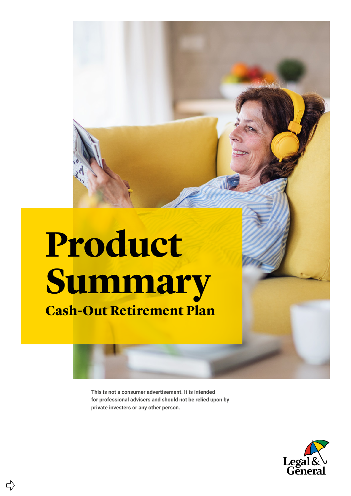## **Product Summary**

**Cash-Out Retirement Plan**

 $\Rightarrow$ 

**This is not a consumer advertisement. It is intended for professional advisers and should not be relied upon by private investers or any other person.**

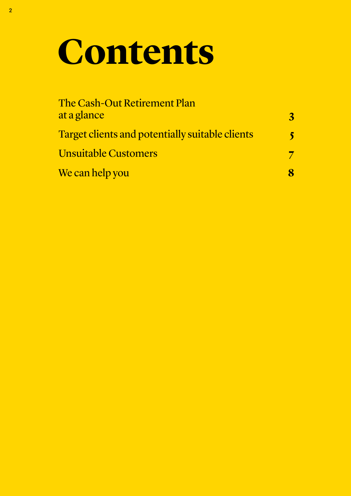### **Contents**

| The Cash-Out Retirement Plan<br>at a glance     | 3 |
|-------------------------------------------------|---|
| Target clients and potentially suitable clients |   |
| <b>Unsuitable Customers</b>                     |   |
| We can help you                                 |   |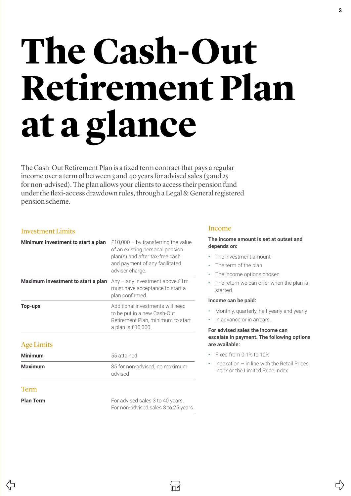## <span id="page-2-0"></span>**The Cash-Out Retirement Plan at a glance**

The Cash-Out Retirement Plan is a fixed term contract that pays a regular income over a term of between 3 and 40 years for advised sales (3 and 25 for non-advised). The plan allows your clients to access their pension fund under the flexi-access drawdown rules, through a Legal & General registered pension scheme.

### Investment Limits

| Minimum investment to start a plan | £10,000 – by transferring the value<br>of an existing personal pension<br>plan(s) and after tax-free cash<br>and payment of any facilitated<br>adviser charge. |
|------------------------------------|----------------------------------------------------------------------------------------------------------------------------------------------------------------|
| Maximum investment to start a plan | Any $-$ any investment above £1m<br>must have acceptance to start a<br>plan confirmed.                                                                         |
| Top-ups                            | Additional investments will need<br>to be put in a new Cash-Out<br>Retirement Plan, minimum to start<br>a plan is £10,000.                                     |
|                                    |                                                                                                                                                                |

### Age Limits

| <b>Minimum</b>   | 55 attained                               |
|------------------|-------------------------------------------|
| <b>Maximum</b>   | 85 for non-advised, no maximum<br>advised |
| <b>Term</b>      |                                           |
| <b>Plan Term</b> | For advised sales 3 to 40 years.          |

For non-advised sales 3 to 25 years.

### Income

### **The income amount is set at outset and depends on:**

- The investment amount
- The term of the plan
- The income options chosen
- The return we can offer when the plan is started.

### **Income can be paid:**

- Monthly, quarterly, half yearly and yearly
- In advance or in arrears.

### **For advised sales the income can escalate in payment. The following options are available:**

- Fixed from 0.1% to 10%
- Indexation in line with the Retail Prices Index or the Limited Price Index

 $\vec{r}$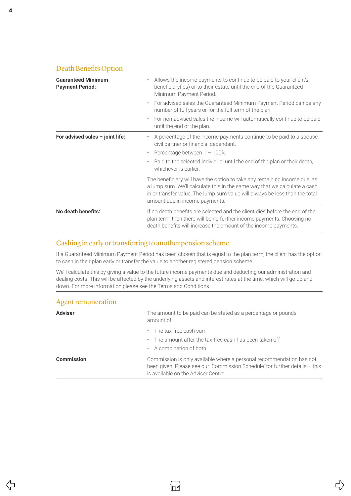### Death Benefits Option

Agent remuneration

| <b>Guaranteed Minimum</b><br><b>Payment Period:</b> | Allows the income payments to continue to be paid to your client's<br>beneficiary(ies) or to their estate until the end of the Guaranteed<br>Minimum Payment Period.                                                                                                    |  |  |
|-----------------------------------------------------|-------------------------------------------------------------------------------------------------------------------------------------------------------------------------------------------------------------------------------------------------------------------------|--|--|
|                                                     | For advised sales the Guaranteed Minimum Payment Period can be any<br>$\bullet$<br>number of full years or for the full term of the plan.                                                                                                                               |  |  |
|                                                     | For non-advised sales the income will automatically continue to be paid<br>$\bullet$<br>until the end of the plan.                                                                                                                                                      |  |  |
| For advised sales $-$ joint life:                   | • A percentage of the income payments continue to be paid to a spouse,<br>civil partner or financial dependant.                                                                                                                                                         |  |  |
|                                                     | Percentage between $1 - 100\%$ .<br>$\bullet$                                                                                                                                                                                                                           |  |  |
|                                                     | Paid to the selected individual until the end of the plan or their death,<br>whichever is earlier.                                                                                                                                                                      |  |  |
|                                                     | The beneficiary will have the option to take any remaining income due, as<br>a lump sum. We'll calculate this in the same way that we calculate a cash<br>in or transfer value. The lump sum value will always be less than the total<br>amount due in income payments. |  |  |
| No death benefits:                                  | If no death benefits are selected and the client dies before the end of the<br>plan term, then there will be no further income payments. Choosing no<br>death benefits will increase the amount of the income payments.                                                 |  |  |

### Cashing in early or transferring to another pension scheme

If a Guaranteed Minimum Payment Period has been chosen that is equal to the plan term, the client has the option to cash in their plan early or transfer the value to another registered pension scheme.

We'll calculate this by giving a value to the future income payments due and deducting our administration and dealing costs. This will be affected by the underlying assets and interest rates at the time, which will go up and down. For more information please see the Terms and Conditions.

| 1.5               |                                                                                                                                                                                            |  |
|-------------------|--------------------------------------------------------------------------------------------------------------------------------------------------------------------------------------------|--|
| <b>Adviser</b>    | The amount to be paid can be stated as a percentage or pounds<br>amount of:                                                                                                                |  |
|                   | The tax-free cash sum<br>$\bullet$                                                                                                                                                         |  |
|                   | The amount after the tax-free cash has been taken off                                                                                                                                      |  |
|                   | • A combination of both.                                                                                                                                                                   |  |
| <b>Commission</b> | Commission is only available where a personal recommendation has not<br>been given. Please see our 'Commission Schedule' for further details - this<br>is available on the Adviser Centre. |  |

⇦

 $\Rightarrow$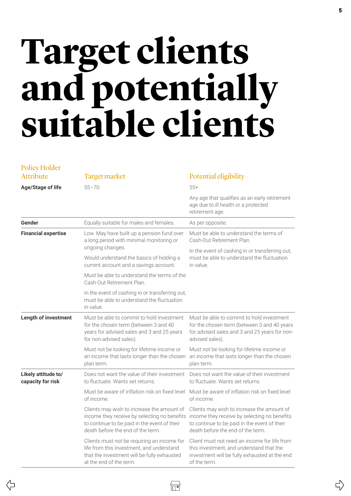### <span id="page-4-0"></span>**Target clients and potentially suitable clients**

| <b>Policy Holder</b>                     |                                                                                                                                                                                 |                                                                                                                                                                                 |
|------------------------------------------|---------------------------------------------------------------------------------------------------------------------------------------------------------------------------------|---------------------------------------------------------------------------------------------------------------------------------------------------------------------------------|
| <b>Attribute</b>                         | <b>Target market</b>                                                                                                                                                            | Potential eligibility                                                                                                                                                           |
| <b>Age/Stage of life</b>                 | $55 - 70$                                                                                                                                                                       | $55+$                                                                                                                                                                           |
|                                          |                                                                                                                                                                                 | Any age that qualifies as an early retirement<br>age due to ill health or a protected<br>retirement age.                                                                        |
| Gender                                   | Equally suitable for males and females.                                                                                                                                         | As per opposite.                                                                                                                                                                |
| <b>Financial expertise</b>               | Low. May have built up a pension fund over<br>a long period with minimal monitoring or<br>ongoing changes.                                                                      | Must be able to understand the terms of<br>Cash-Out Retirement Plan.                                                                                                            |
|                                          | Would understand the basics of holding a<br>current account and a savings account.                                                                                              | In the event of cashing in or transferring out,<br>must be able to understand the fluctuation<br>in value.                                                                      |
|                                          | Must be able to understand the terms of the<br>Cash-Out Retirement Plan.                                                                                                        |                                                                                                                                                                                 |
|                                          | In the event of cashing in or transferring out,<br>must be able to understand the fluctuation<br>in value.                                                                      |                                                                                                                                                                                 |
| <b>Length of investment</b>              | Must be able to commit to hold investment<br>for the chosen term (between 3 and 40<br>years for advised sales and 3 and 25 years<br>for non-advised sales).                     | Must be able to commit to hold investment<br>for the chosen term (between 3 and 40 years<br>for advised sales and 3 and 25 years for non-<br>advised sales).                    |
|                                          | Must not be looking for lifetime income or<br>an income that lasts longer than the chosen<br>plan term.                                                                         | Must not be looking for lifetime income or<br>an income that lasts longer than the chosen<br>plan term.                                                                         |
| Likely attitude to/<br>capacity for risk | Does not want the value of their investment<br>to fluctuate. Wants set returns.                                                                                                 | Does not want the value of their investment<br>to fluctuate. Wants set returns.                                                                                                 |
|                                          | Must be aware of inflation risk on fixed level<br>of income.                                                                                                                    | Must be aware of inflation risk on fixed level<br>of income.                                                                                                                    |
|                                          | Clients may wish to increase the amount of<br>income they receive by selecting no benefits<br>to continue to be paid in the event of their<br>death before the end of the term. | Clients may wish to increase the amount of<br>income they receive by selecting no benefits<br>to continue to be paid in the event of their<br>death before the end of the term. |
|                                          | Clients must not be requiring an income for<br>life from this investment, and understand<br>that the investment will be fully exhausted<br>at the end of the term.              | Client must not need an income for life from<br>this investment, and understand that the<br>investment will be fully exhausted at the end<br>of the term.                       |
|                                          |                                                                                                                                                                                 |                                                                                                                                                                                 |

 $\overleftrightarrow{\Box}$ 

⇦

 $\overline{C}$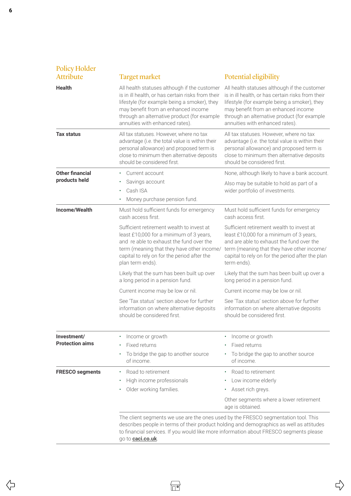| <b>Policy Holder</b><br><b>Attribute</b> | <b>Target market</b>                                                                                                                                                                                                                                                                                                                                                                                                                                                                                                                                                 | Potential eligibility                                                                                                                                                                                                                                                                                                                                                                                                                                                                                                                                                 |
|------------------------------------------|----------------------------------------------------------------------------------------------------------------------------------------------------------------------------------------------------------------------------------------------------------------------------------------------------------------------------------------------------------------------------------------------------------------------------------------------------------------------------------------------------------------------------------------------------------------------|-----------------------------------------------------------------------------------------------------------------------------------------------------------------------------------------------------------------------------------------------------------------------------------------------------------------------------------------------------------------------------------------------------------------------------------------------------------------------------------------------------------------------------------------------------------------------|
| <b>Health</b>                            | All health statuses although if the customer<br>is in ill health, or has certain risks from their<br>lifestyle (for example being a smoker), they<br>may benefit from an enhanced income<br>through an alternative product (for example<br>annuities with enhanced rates).                                                                                                                                                                                                                                                                                           | All health statuses although if the customer<br>is in ill health, or has certain risks from their<br>lifestyle (for example being a smoker), they<br>may benefit from an enhanced income<br>through an alternative product (for example<br>annuities with enhanced rates).                                                                                                                                                                                                                                                                                            |
| <b>Tax status</b>                        | All tax statuses. However, where no tax<br>advantage (i.e. the total value is within their<br>personal allowance) and proposed term is<br>close to minimum then alternative deposits<br>should be considered first.                                                                                                                                                                                                                                                                                                                                                  | All tax statuses. However, where no tax<br>advantage (i.e. the total value is within their<br>personal allowance) and proposed term is<br>close to minimum then alternative deposits<br>should be considered first.                                                                                                                                                                                                                                                                                                                                                   |
| <b>Other financial</b><br>products held  | Current account<br>Savings account<br>Cash ISA<br>٠<br>Money purchase pension fund.                                                                                                                                                                                                                                                                                                                                                                                                                                                                                  | None, although likely to have a bank account.<br>Also may be suitable to hold as part of a<br>wider portfolio of investments.                                                                                                                                                                                                                                                                                                                                                                                                                                         |
| Income/Wealth                            | Must hold sufficient funds for emergency<br>cash access first.<br>Sufficient retirement wealth to invest at<br>least £10,000 for a minimum of 3 years,<br>and re able to exhaust the fund over the<br>term (meaning that they have other income/<br>capital to rely on for the period after the<br>plan term ends).<br>Likely that the sum has been built up over<br>a long period in a pension fund.<br>Current income may be low or nil.<br>See 'Tax status' section above for further<br>information on where alternative deposits<br>should be considered first. | Must hold sufficient funds for emergency<br>cash access first.<br>Sufficient retirement wealth to invest at<br>least £10,000 for a minimum of 3 years,<br>and are able to exhaust the fund over the<br>term (meaning that they have other income/<br>capital to rely on for the period after the plan<br>term ends).<br>Likely that the sum has been built up over a<br>long period in a pension fund.<br>Current income may be low or nil.<br>See 'Tax status' section above for further<br>information on where alternative deposits<br>should be considered first. |
| Investment/<br><b>Protection aims</b>    | Income or growth<br>Fixed returns<br>To bridge the gap to another source<br>of income.                                                                                                                                                                                                                                                                                                                                                                                                                                                                               | Income or growth<br>Fixed returns<br>To bridge the gap to another source<br>of income.                                                                                                                                                                                                                                                                                                                                                                                                                                                                                |
| <b>FRESCO segments</b>                   | Road to retirement<br>High income professionals<br>٠<br>Older working families.<br>The client segments we use are the ones used by the FRESCO segmentation tool. This<br>to financial services. If you would like more information about FRESCO segments please<br>go to <b>caci.co.uk</b> .                                                                                                                                                                                                                                                                         | Road to retirement<br>$\bullet$<br>Low income elderly<br>Asset rich greys.<br>Other segments where a lower retirement<br>age is obtained.<br>describes people in terms of their product holding and demographics as well as attitudes                                                                                                                                                                                                                                                                                                                                 |

6

 $\overline{\mathcal{L}}$ 

 $\stackrel{\wedge}{\rightarrow}$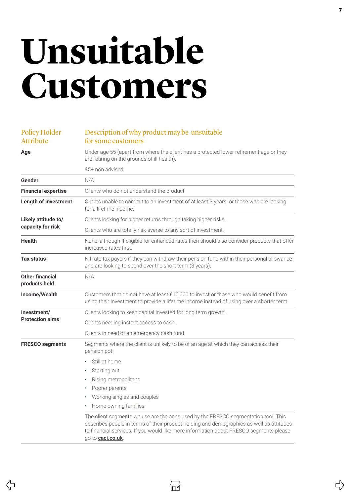### <span id="page-6-0"></span>**Unsuitable Customers**

### Policy Holder Attribute

### Description of why product may be unsuitable for some customers

**Age** Under age 55 (apart from where the client has a protected lower retirement age or they are retiring on the grounds of ill health). 85+ non advised Gender N/A **Financial expertise** Clients who do not understand the product. **Length of investment** Clients unable to commit to an investment of at least 3 years, or those who are looking for a lifetime income. **Likely attitude to/ capacity for risk** Clients looking for higher returns through taking higher risks. Clients who are totally risk-averse to any sort of investment. **Health** None, although if eligible for enhanced rates then should also consider products that offer increased rates first. **Tax status** Nil rate tax payers if they can withdraw their pension fund within their personal allowance and are looking to spend over the short term (3 years). **Other financial products held** N/A **Income/Wealth** Customers that do not have at least £10,000 to invest or those who would benefit from using their investment to provide a lifetime income instead of using over a shorter term. **Investment/ Protection aims** Clients looking to keep capital invested for long term growth. Clients needing instant access to cash. Clients in need of an emergency cash fund. **FRESCO segments** Segments where the client is unlikely to be of an age at which they can access their pension pot: • Still at home Starting out • Rising metropolitans Poorer parents • Working singles and couples • Home owning families. The client segments we use are the ones used by the FRESCO segmentation tool. This describes people in terms of their product holding and demographics as well as attitudes to financial services. If you would like more information about FRESCO segments please go to **[caci.co.uk](http://caci.co.uk)**.

∣⊓∙∏

 $\vec{r}$